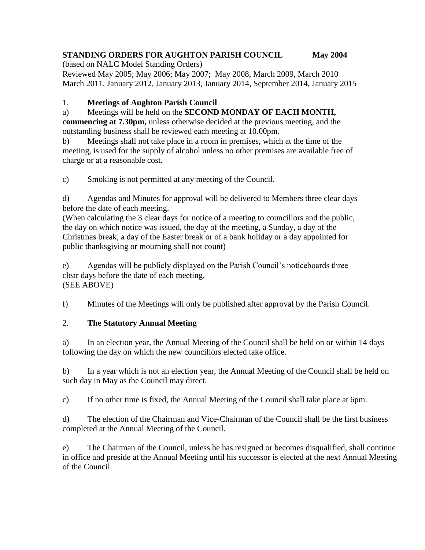# **STANDING ORDERS FOR AUGHTON PARISH COUNCIL May 2004**

(based on NALC Model Standing Orders) Reviewed May 2005; May 2006; May 2007; May 2008, March 2009, March 2010 March 2011, January 2012, January 2013, January 2014, September 2014, January 2015

#### 1. **Meetings of Aughton Parish Council**

## a) Meetings will be held on the **SECOND MONDAY OF EACH MONTH,**

**commencing at 7.30pm,** unless otherwise decided at the previous meeting, and the outstanding business shall be reviewed each meeting at 10.00pm.

b) Meetings shall not take place in a room in premises, which at the time of the meeting, is used for the supply of alcohol unless no other premises are available free of charge or at a reasonable cost.

c) Smoking is not permitted at any meeting of the Council.

d) Agendas and Minutes for approval will be delivered to Members three clear days before the date of each meeting.

(When calculating the 3 clear days for notice of a meeting to councillors and the public, the day on which notice was issued, the day of the meeting, a Sunday, a day of the Christmas break, a day of the Easter break or of a bank holiday or a day appointed for public thanksgiving or mourning shall not count)

e) Agendas will be publicly displayed on the Parish Council's noticeboards three clear days before the date of each meeting. (SEE ABOVE)

f) Minutes of the Meetings will only be published after approval by the Parish Council.

#### 2. **The Statutory Annual Meeting**

a) In an election year, the Annual Meeting of the Council shall be held on or within 14 days following the day on which the new councillors elected take office.

b) In a year which is not an election year, the Annual Meeting of the Council shall be held on such day in May as the Council may direct.

c) If no other time is fixed, the Annual Meeting of the Council shall take place at 6pm.

d) The election of the Chairman and Vice-Chairman of the Council shall be the first business completed at the Annual Meeting of the Council.

e) The Chairman of the Council, unless he has resigned or becomes disqualified, shall continue in office and preside at the Annual Meeting until his successor is elected at the next Annual Meeting of the Council.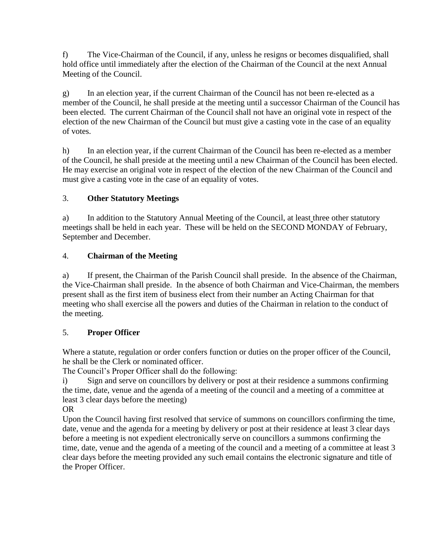f) The Vice-Chairman of the Council, if any, unless he resigns or becomes disqualified, shall hold office until immediately after the election of the Chairman of the Council at the next Annual Meeting of the Council.

g) In an election year, if the current Chairman of the Council has not been re-elected as a member of the Council, he shall preside at the meeting until a successor Chairman of the Council has been elected. The current Chairman of the Council shall not have an original vote in respect of the election of the new Chairman of the Council but must give a casting vote in the case of an equality of votes.

h) In an election year, if the current Chairman of the Council has been re-elected as a member of the Council, he shall preside at the meeting until a new Chairman of the Council has been elected. He may exercise an original vote in respect of the election of the new Chairman of the Council and must give a casting vote in the case of an equality of votes.

## 3. **Other Statutory Meetings**

a) In addition to the Statutory Annual Meeting of the Council, at least three other statutory meetings shall be held in each year. These will be held on the SECOND MONDAY of February, September and December.

## 4. **Chairman of the Meeting**

a) If present, the Chairman of the Parish Council shall preside. In the absence of the Chairman, the Vice-Chairman shall preside. In the absence of both Chairman and Vice-Chairman, the members present shall as the first item of business elect from their number an Acting Chairman for that meeting who shall exercise all the powers and duties of the Chairman in relation to the conduct of the meeting.

## 5. **Proper Officer**

Where a statute, regulation or order confers function or duties on the proper officer of the Council, he shall be the Clerk or nominated officer.

The Council's Proper Officer shall do the following:

i) Sign and serve on councillors by delivery or post at their residence a summons confirming the time, date, venue and the agenda of a meeting of the council and a meeting of a committee at least 3 clear days before the meeting)

OR

Upon the Council having first resolved that service of summons on councillors confirming the time, date, venue and the agenda for a meeting by delivery or post at their residence at least 3 clear days before a meeting is not expedient electronically serve on councillors a summons confirming the time, date, venue and the agenda of a meeting of the council and a meeting of a committee at least 3 clear days before the meeting provided any such email contains the electronic signature and title of the Proper Officer.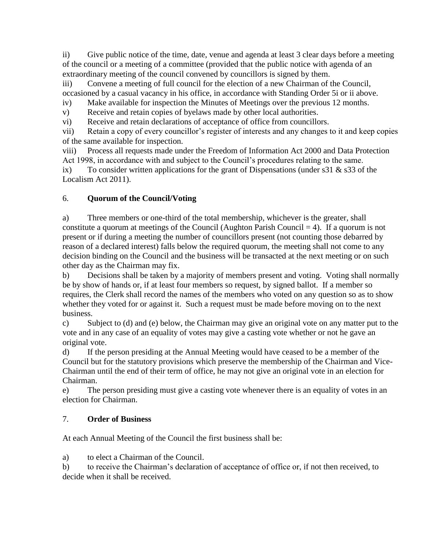ii) Give public notice of the time, date, venue and agenda at least 3 clear days before a meeting of the council or a meeting of a committee (provided that the public notice with agenda of an extraordinary meeting of the council convened by councillors is signed by them.

iii) Convene a meeting of full council for the election of a new Chairman of the Council, occasioned by a casual vacancy in his office, in accordance with Standing Order 5i or ii above.

iv) Make available for inspection the Minutes of Meetings over the previous 12 months.

v) Receive and retain copies of byelaws made by other local authorities.

vi) Receive and retain declarations of acceptance of office from councillors.

vii) Retain a copy of every councillor's register of interests and any changes to it and keep copies of the same available for inspection.

viii) Process all requests made under the Freedom of Information Act 2000 and Data Protection Act 1998, in accordance with and subject to the Council's procedures relating to the same.

ix) To consider written applications for the grant of Dispensations (under  $s31 \& s33$  of the Localism Act 2011).

## 6. **Quorum of the Council/Voting**

a) Three members or one-third of the total membership, whichever is the greater, shall constitute a quorum at meetings of the Council (Aughton Parish Council  $= 4$ ). If a quorum is not present or if during a meeting the number of councillors present (not counting those debarred by reason of a declared interest) falls below the required quorum, the meeting shall not come to any decision binding on the Council and the business will be transacted at the next meeting or on such other day as the Chairman may fix.

b) Decisions shall be taken by a majority of members present and voting. Voting shall normally be by show of hands or, if at least four members so request, by signed ballot. If a member so requires, the Clerk shall record the names of the members who voted on any question so as to show whether they voted for or against it. Such a request must be made before moving on to the next business.

c) Subject to (d) and (e) below, the Chairman may give an original vote on any matter put to the vote and in any case of an equality of votes may give a casting vote whether or not he gave an original vote.

d) If the person presiding at the Annual Meeting would have ceased to be a member of the Council but for the statutory provisions which preserve the membership of the Chairman and Vice-Chairman until the end of their term of office, he may not give an original vote in an election for Chairman.

e) The person presiding must give a casting vote whenever there is an equality of votes in an election for Chairman.

## 7. **Order of Business**

At each Annual Meeting of the Council the first business shall be:

a) to elect a Chairman of the Council.

b) to receive the Chairman's declaration of acceptance of office or, if not then received, to decide when it shall be received.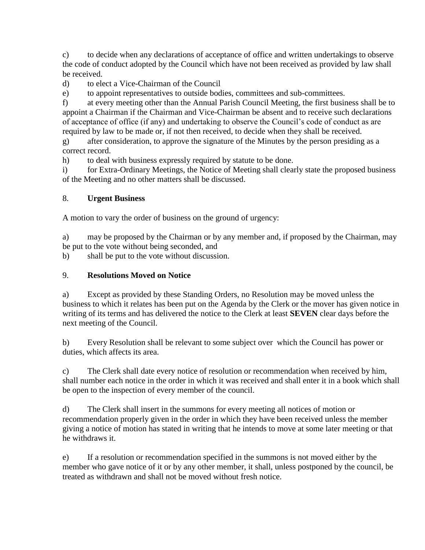c) to decide when any declarations of acceptance of office and written undertakings to observe the code of conduct adopted by the Council which have not been received as provided by law shall be received.

d) to elect a Vice-Chairman of the Council

e) to appoint representatives to outside bodies, committees and sub-committees.

f) at every meeting other than the Annual Parish Council Meeting, the first business shall be to appoint a Chairman if the Chairman and Vice-Chairman be absent and to receive such declarations of acceptance of office (if any) and undertaking to observe the Council's code of conduct as are required by law to be made or, if not then received, to decide when they shall be received.

g) after consideration, to approve the signature of the Minutes by the person presiding as a correct record.

h) to deal with business expressly required by statute to be done.

i) for Extra-Ordinary Meetings, the Notice of Meeting shall clearly state the proposed business of the Meeting and no other matters shall be discussed.

#### 8. **Urgent Business**

A motion to vary the order of business on the ground of urgency:

a) may be proposed by the Chairman or by any member and, if proposed by the Chairman, may be put to the vote without being seconded, and

b) shall be put to the vote without discussion.

#### 9. **Resolutions Moved on Notice**

a) Except as provided by these Standing Orders, no Resolution may be moved unless the business to which it relates has been put on the Agenda by the Clerk or the mover has given notice in writing of its terms and has delivered the notice to the Clerk at least **SEVEN** clear days before the next meeting of the Council.

b) Every Resolution shall be relevant to some subject over which the Council has power or duties, which affects its area.

c) The Clerk shall date every notice of resolution or recommendation when received by him, shall number each notice in the order in which it was received and shall enter it in a book which shall be open to the inspection of every member of the council.

d) The Clerk shall insert in the summons for every meeting all notices of motion or recommendation properly given in the order in which they have been received unless the member giving a notice of motion has stated in writing that he intends to move at some later meeting or that he withdraws it.

e) If a resolution or recommendation specified in the summons is not moved either by the member who gave notice of it or by any other member, it shall, unless postponed by the council, be treated as withdrawn and shall not be moved without fresh notice.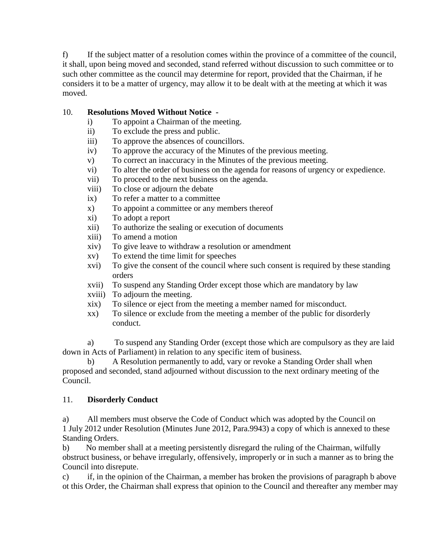f) If the subject matter of a resolution comes within the province of a committee of the council, it shall, upon being moved and seconded, stand referred without discussion to such committee or to such other committee as the council may determine for report, provided that the Chairman, if he considers it to be a matter of urgency, may allow it to be dealt with at the meeting at which it was moved.

#### 10. **Resolutions Moved Without Notice -**

- i) To appoint a Chairman of the meeting.
- ii) To exclude the press and public.
- iii) To approve the absences of councillors.
- iv) To approve the accuracy of the Minutes of the previous meeting.
- v) To correct an inaccuracy in the Minutes of the previous meeting.
- vi) To alter the order of business on the agenda for reasons of urgency or expedience.
- vii) To proceed to the next business on the agenda.
- viii) To close or adjourn the debate
- ix) To refer a matter to a committee
- x) To appoint a committee or any members thereof
- xi) To adopt a report
- xii) To authorize the sealing or execution of documents
- xiii) To amend a motion
- xiv) To give leave to withdraw a resolution or amendment
- xv) To extend the time limit for speeches
- xvi) To give the consent of the council where such consent is required by these standing orders
- xvii) To suspend any Standing Order except those which are mandatory by law
- xviii) To adjourn the meeting.
- xix) To silence or eject from the meeting a member named for misconduct.
- xx) To silence or exclude from the meeting a member of the public for disorderly conduct.

a) To suspend any Standing Order (except those which are compulsory as they are laid down in Acts of Parliament) in relation to any specific item of business.

b) A Resolution permanently to add, vary or revoke a Standing Order shall when proposed and seconded, stand adjourned without discussion to the next ordinary meeting of the Council.

#### 11. **Disorderly Conduct**

a) All members must observe the Code of Conduct which was adopted by the Council on 1 July 2012 under Resolution (Minutes June 2012, Para.9943) a copy of which is annexed to these Standing Orders.

b) No member shall at a meeting persistently disregard the ruling of the Chairman, wilfully obstruct business, or behave irregularly, offensively, improperly or in such a manner as to bring the Council into disrepute.

c) if, in the opinion of the Chairman, a member has broken the provisions of paragraph b above ot this Order, the Chairman shall express that opinion to the Council and thereafter any member may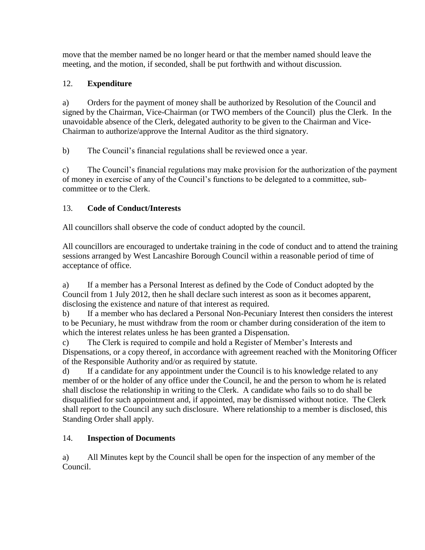move that the member named be no longer heard or that the member named should leave the meeting, and the motion, if seconded, shall be put forthwith and without discussion.

# 12. **Expenditure**

a) Orders for the payment of money shall be authorized by Resolution of the Council and signed by the Chairman, Vice-Chairman (or TWO members of the Council) plus the Clerk. In the unavoidable absence of the Clerk, delegated authority to be given to the Chairman and Vice-Chairman to authorize/approve the Internal Auditor as the third signatory.

b) The Council's financial regulations shall be reviewed once a year.

c) The Council's financial regulations may make provision for the authorization of the payment of money in exercise of any of the Council's functions to be delegated to a committee, subcommittee or to the Clerk.

## 13. **Code of Conduct/Interests**

All councillors shall observe the code of conduct adopted by the council.

All councillors are encouraged to undertake training in the code of conduct and to attend the training sessions arranged by West Lancashire Borough Council within a reasonable period of time of acceptance of office.

a) If a member has a Personal Interest as defined by the Code of Conduct adopted by the Council from 1 July 2012, then he shall declare such interest as soon as it becomes apparent, disclosing the existence and nature of that interest as required.

b) If a member who has declared a Personal Non-Pecuniary Interest then considers the interest to be Pecuniary, he must withdraw from the room or chamber during consideration of the item to which the interest relates unless he has been granted a Dispensation.

c) The Clerk is required to compile and hold a Register of Member's Interests and Dispensations, or a copy thereof, in accordance with agreement reached with the Monitoring Officer of the Responsible Authority and/or as required by statute.

d) If a candidate for any appointment under the Council is to his knowledge related to any member of or the holder of any office under the Council, he and the person to whom he is related shall disclose the relationship in writing to the Clerk. A candidate who fails so to do shall be disqualified for such appointment and, if appointed, may be dismissed without notice. The Clerk shall report to the Council any such disclosure. Where relationship to a member is disclosed, this Standing Order shall apply.

# 14. **Inspection of Documents**

a) All Minutes kept by the Council shall be open for the inspection of any member of the Council.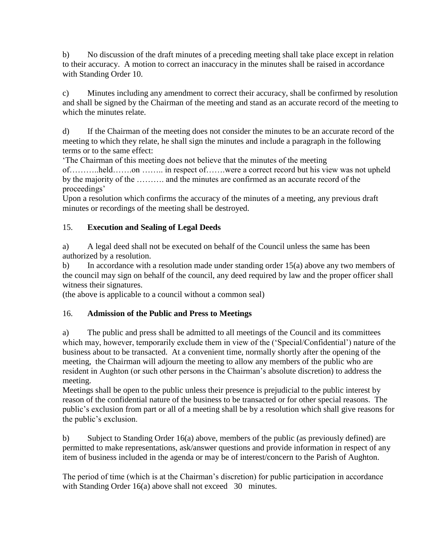b) No discussion of the draft minutes of a preceding meeting shall take place except in relation to their accuracy. A motion to correct an inaccuracy in the minutes shall be raised in accordance with Standing Order 10.

c) Minutes including any amendment to correct their accuracy, shall be confirmed by resolution and shall be signed by the Chairman of the meeting and stand as an accurate record of the meeting to which the minutes relate.

d) If the Chairman of the meeting does not consider the minutes to be an accurate record of the meeting to which they relate, he shall sign the minutes and include a paragraph in the following terms or to the same effect:

'The Chairman of this meeting does not believe that the minutes of the meeting

of………..held…….on …….. in respect of…….were a correct record but his view was not upheld by the majority of the ………. and the minutes are confirmed as an accurate record of the proceedings'

Upon a resolution which confirms the accuracy of the minutes of a meeting, any previous draft minutes or recordings of the meeting shall be destroyed.

## 15. **Execution and Sealing of Legal Deeds**

a) A legal deed shall not be executed on behalf of the Council unless the same has been authorized by a resolution.

b) In accordance with a resolution made under standing order 15(a) above any two members of the council may sign on behalf of the council, any deed required by law and the proper officer shall witness their signatures.

(the above is applicable to a council without a common seal)

## 16. **Admission of the Public and Press to Meetings**

a) The public and press shall be admitted to all meetings of the Council and its committees which may, however, temporarily exclude them in view of the ('Special/Confidential') nature of the business about to be transacted. At a convenient time, normally shortly after the opening of the meeting, the Chairman will adjourn the meeting to allow any members of the public who are resident in Aughton (or such other persons in the Chairman's absolute discretion) to address the meeting.

Meetings shall be open to the public unless their presence is prejudicial to the public interest by reason of the confidential nature of the business to be transacted or for other special reasons. The public's exclusion from part or all of a meeting shall be by a resolution which shall give reasons for the public's exclusion.

b) Subject to Standing Order 16(a) above, members of the public (as previously defined) are permitted to make representations, ask/answer questions and provide information in respect of any item of business included in the agenda or may be of interest/concern to the Parish of Aughton.

The period of time (which is at the Chairman's discretion) for public participation in accordance with Standing Order 16(a) above shall not exceed 30 minutes.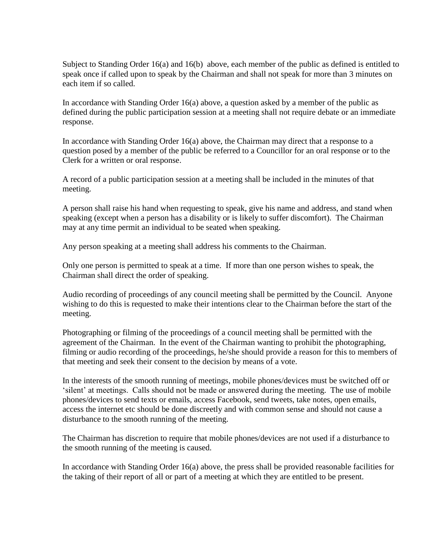Subject to Standing Order 16(a) and 16(b) above, each member of the public as defined is entitled to speak once if called upon to speak by the Chairman and shall not speak for more than 3 minutes on each item if so called.

In accordance with Standing Order 16(a) above, a question asked by a member of the public as defined during the public participation session at a meeting shall not require debate or an immediate response.

In accordance with Standing Order 16(a) above, the Chairman may direct that a response to a question posed by a member of the public be referred to a Councillor for an oral response or to the Clerk for a written or oral response.

A record of a public participation session at a meeting shall be included in the minutes of that meeting.

A person shall raise his hand when requesting to speak, give his name and address, and stand when speaking (except when a person has a disability or is likely to suffer discomfort). The Chairman may at any time permit an individual to be seated when speaking.

Any person speaking at a meeting shall address his comments to the Chairman.

Only one person is permitted to speak at a time. If more than one person wishes to speak, the Chairman shall direct the order of speaking.

Audio recording of proceedings of any council meeting shall be permitted by the Council. Anyone wishing to do this is requested to make their intentions clear to the Chairman before the start of the meeting.

Photographing or filming of the proceedings of a council meeting shall be permitted with the agreement of the Chairman. In the event of the Chairman wanting to prohibit the photographing, filming or audio recording of the proceedings, he/she should provide a reason for this to members of that meeting and seek their consent to the decision by means of a vote.

In the interests of the smooth running of meetings, mobile phones/devices must be switched off or 'silent' at meetings. Calls should not be made or answered during the meeting. The use of mobile phones/devices to send texts or emails, access Facebook, send tweets, take notes, open emails, access the internet etc should be done discreetly and with common sense and should not cause a disturbance to the smooth running of the meeting.

The Chairman has discretion to require that mobile phones/devices are not used if a disturbance to the smooth running of the meeting is caused.

In accordance with Standing Order 16(a) above, the press shall be provided reasonable facilities for the taking of their report of all or part of a meeting at which they are entitled to be present.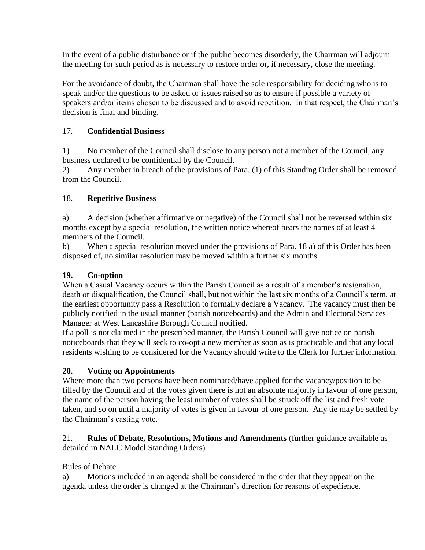In the event of a public disturbance or if the public becomes disorderly, the Chairman will adjourn the meeting for such period as is necessary to restore order or, if necessary, close the meeting.

For the avoidance of doubt, the Chairman shall have the sole responsibility for deciding who is to speak and/or the questions to be asked or issues raised so as to ensure if possible a variety of speakers and/or items chosen to be discussed and to avoid repetition. In that respect, the Chairman's decision is final and binding.

## 17. **Confidential Business**

1) No member of the Council shall disclose to any person not a member of the Council, any business declared to be confidential by the Council.

2) Any member in breach of the provisions of Para. (1) of this Standing Order shall be removed from the Council.

## 18. **Repetitive Business**

a) A decision (whether affirmative or negative) of the Council shall not be reversed within six months except by a special resolution, the written notice whereof bears the names of at least 4 members of the Council.

b) When a special resolution moved under the provisions of Para. 18 a) of this Order has been disposed of, no similar resolution may be moved within a further six months.

## **19. Co-option**

When a Casual Vacancy occurs within the Parish Council as a result of a member's resignation, death or disqualification, the Council shall, but not within the last six months of a Council's term, at the earliest opportunity pass a Resolution to formally declare a Vacancy. The vacancy must then be publicly notified in the usual manner (parish noticeboards) and the Admin and Electoral Services Manager at West Lancashire Borough Council notified.

If a poll is not claimed in the prescribed manner, the Parish Council will give notice on parish noticeboards that they will seek to co-opt a new member as soon as is practicable and that any local residents wishing to be considered for the Vacancy should write to the Clerk for further information.

# **20. Voting on Appointments**

Where more than two persons have been nominated/have applied for the vacancy/position to be filled by the Council and of the votes given there is not an absolute majority in favour of one person, the name of the person having the least number of votes shall be struck off the list and fresh vote taken, and so on until a majority of votes is given in favour of one person. Any tie may be settled by the Chairman's casting vote.

#### 21. **Rules of Debate, Resolutions, Motions and Amendments** (further guidance available as detailed in NALC Model Standing Orders)

## Rules of Debate

a) Motions included in an agenda shall be considered in the order that they appear on the agenda unless the order is changed at the Chairman's direction for reasons of expedience.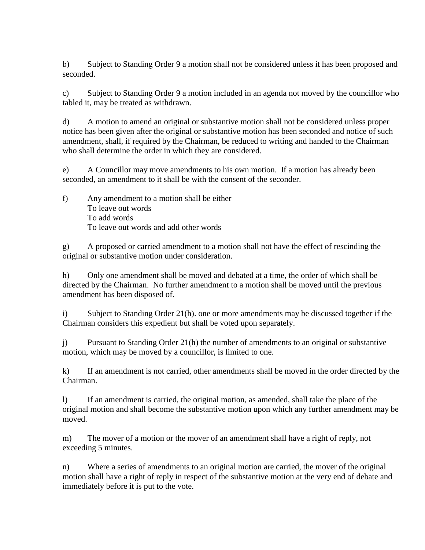b) Subject to Standing Order 9 a motion shall not be considered unless it has been proposed and seconded.

c) Subject to Standing Order 9 a motion included in an agenda not moved by the councillor who tabled it, may be treated as withdrawn.

d) A motion to amend an original or substantive motion shall not be considered unless proper notice has been given after the original or substantive motion has been seconded and notice of such amendment, shall, if required by the Chairman, be reduced to writing and handed to the Chairman who shall determine the order in which they are considered.

e) A Councillor may move amendments to his own motion. If a motion has already been seconded, an amendment to it shall be with the consent of the seconder.

f) Any amendment to a motion shall be either To leave out words To add words To leave out words and add other words

g) A proposed or carried amendment to a motion shall not have the effect of rescinding the original or substantive motion under consideration.

h) Only one amendment shall be moved and debated at a time, the order of which shall be directed by the Chairman. No further amendment to a motion shall be moved until the previous amendment has been disposed of.

i) Subject to Standing Order 21(h). one or more amendments may be discussed together if the Chairman considers this expedient but shall be voted upon separately.

j) Pursuant to Standing Order 21(h) the number of amendments to an original or substantive motion, which may be moved by a councillor, is limited to one.

k) If an amendment is not carried, other amendments shall be moved in the order directed by the Chairman.

l) If an amendment is carried, the original motion, as amended, shall take the place of the original motion and shall become the substantive motion upon which any further amendment may be moved.

m) The mover of a motion or the mover of an amendment shall have a right of reply, not exceeding 5 minutes.

n) Where a series of amendments to an original motion are carried, the mover of the original motion shall have a right of reply in respect of the substantive motion at the very end of debate and immediately before it is put to the vote.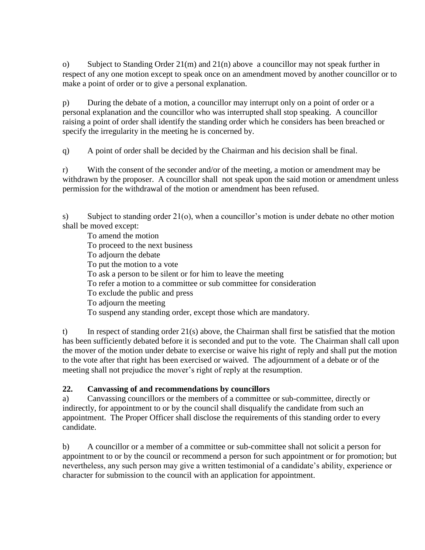o) Subject to Standing Order 21(m) and 21(n) above a councillor may not speak further in respect of any one motion except to speak once on an amendment moved by another councillor or to make a point of order or to give a personal explanation.

p) During the debate of a motion, a councillor may interrupt only on a point of order or a personal explanation and the councillor who was interrupted shall stop speaking. A councillor raising a point of order shall identify the standing order which he considers has been breached or specify the irregularity in the meeting he is concerned by.

q) A point of order shall be decided by the Chairman and his decision shall be final.

r) With the consent of the seconder and/or of the meeting, a motion or amendment may be withdrawn by the proposer. A councillor shall not speak upon the said motion or amendment unless permission for the withdrawal of the motion or amendment has been refused.

s) Subject to standing order 21(o), when a councillor's motion is under debate no other motion shall be moved except:

To amend the motion To proceed to the next business To adjourn the debate To put the motion to a vote To ask a person to be silent or for him to leave the meeting To refer a motion to a committee or sub committee for consideration To exclude the public and press To adjourn the meeting To suspend any standing order, except those which are mandatory.

t) In respect of standing order 21(s) above, the Chairman shall first be satisfied that the motion has been sufficiently debated before it is seconded and put to the vote. The Chairman shall call upon the mover of the motion under debate to exercise or waive his right of reply and shall put the motion to the vote after that right has been exercised or waived. The adjournment of a debate or of the meeting shall not prejudice the mover's right of reply at the resumption.

#### **22. Canvassing of and recommendations by councillors**

a) Canvassing councillors or the members of a committee or sub-committee, directly or indirectly, for appointment to or by the council shall disqualify the candidate from such an appointment. The Proper Officer shall disclose the requirements of this standing order to every candidate.

b) A councillor or a member of a committee or sub-committee shall not solicit a person for appointment to or by the council or recommend a person for such appointment or for promotion; but nevertheless, any such person may give a written testimonial of a candidate's ability, experience or character for submission to the council with an application for appointment.